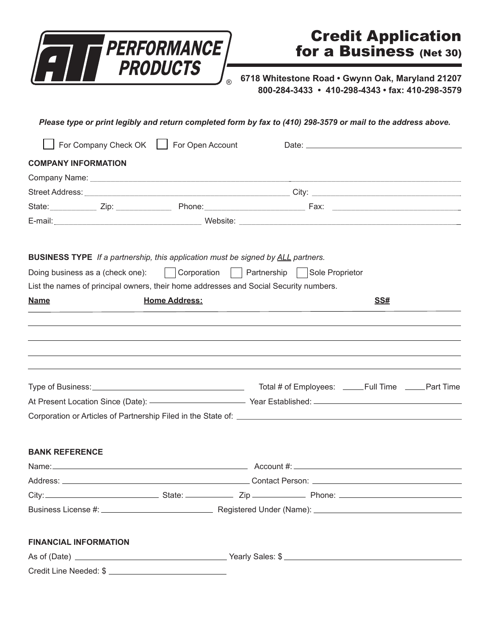

## Credit Application for a Business (Net 30)

**6718 Whitestone Road • Gwynn Oak, Maryland 21207 800-284-3433 • 410-298-4343 • fax: 410-298-3579** 

*Please type or print legibly and return completed form by fax to (410) 298-3579 or mail to the address above.* For Company Check OK For Open Account Date: \_\_\_\_\_\_\_\_\_\_\_\_\_\_\_\_\_\_\_\_\_\_\_\_\_\_\_\_\_\_\_\_\_\_ **COMPANY INFORMATION** Company Name: Street Address: \_\_\_\_\_\_\_\_\_\_\_\_\_\_\_\_\_\_\_\_\_\_\_\_\_\_\_\_\_\_\_\_\_\_\_\_\_\_\_\_\_\_\_\_\_\_ City:\_\_\_\_\_\_\_\_\_\_\_\_\_\_\_\_\_\_\_\_\_\_\_\_\_\_\_\_\_\_\_\_\_\_ State:\_\_\_\_\_\_\_\_\_\_\_ Zip: \_\_\_\_\_\_\_\_\_\_\_\_\_ Phone:\_\_\_\_\_\_\_\_\_\_\_\_\_\_\_\_\_\_\_\_\_\_\_ Fax:\_\_\_\_\_\_\_\_\_\_\_\_\_\_\_\_\_\_\_\_\_\_\_\_\_\_\_\_\_\_ E-mail: \_\_\_\_\_\_\_\_\_\_\_\_\_\_\_\_\_\_\_\_\_\_\_\_\_\_\_\_\_\_\_\_\_ Website: \_\_\_\_\_\_\_\_\_\_\_\_\_\_\_\_\_\_\_\_\_\_\_\_\_\_\_\_\_\_\_\_\_\_\_\_\_\_\_\_\_\_\_\_\_\_\_\_\_ **BUSINESS TYPE** *If a partnership, this application must be signed by ALL partners.* Doing business as a (check one): Corporation Partnership Sole Proprietor List the names of principal owners, their home addresses and Social Security numbers. **Name SS# Home Address:** SS# Type of Business: \_\_\_\_\_\_\_\_\_\_\_\_\_\_\_\_\_\_\_\_\_\_\_\_\_\_\_\_\_\_\_\_\_\_\_\_\_Total # of Employees: \_\_\_ Full Time Part Time At Present Location Since (Date): \_\_\_\_\_\_\_\_\_\_\_\_\_\_\_\_\_\_\_\_\_\_\_\_\_\_ Year Established: \_\_\_\_\_\_\_\_\_\_\_\_\_\_\_\_\_\_\_\_\_\_\_\_\_\_\_\_\_\_\_ Corporation or Articles of Partnership Filed in the State of: \_\_\_\_\_\_\_\_\_\_\_\_\_\_\_\_\_\_ **BANK REFERENCE** Name: \_\_\_\_\_\_\_\_\_\_\_\_\_\_\_\_\_\_\_\_\_\_\_\_\_\_\_\_\_\_\_\_\_\_\_\_\_\_\_\_\_\_\_\_ Account #: \_\_\_\_\_\_\_\_\_\_\_\_\_\_\_\_\_\_\_\_\_\_\_\_\_\_\_\_\_\_\_\_\_\_\_\_ Address: example and the set of the set of the contact Person:  $\blacksquare$ City:\_\_\_\_\_\_\_\_\_\_\_\_\_\_\_\_\_\_\_\_\_\_\_\_\_\_ State:\_\_\_\_\_\_\_\_\_\_\_\_ Zip:\_\_\_\_\_\_\_\_\_\_\_\_ Phone:\_\_\_\_\_\_\_\_\_\_\_\_\_\_\_\_\_\_\_\_\_\_\_\_\_\_\_ Business License #:\_\_\_\_\_\_\_\_\_\_\_\_\_\_\_\_\_\_\_\_\_\_\_\_\_\_ Registered Under (Name):\_\_\_\_\_\_\_\_\_\_\_\_\_\_\_\_\_\_\_\_\_\_\_\_\_\_\_\_\_\_\_\_\_ **FINANCIAL INFORMATION** As of (Date): \_\_\_\_\_\_\_\_\_\_\_\_\_\_\_\_\_\_\_\_\_\_\_\_\_\_\_\_\_\_\_\_\_ Yearly Sales: \$\_\_\_\_\_\_\_\_\_\_\_\_\_\_\_\_\_\_\_\_\_\_\_\_\_\_\_\_\_\_\_\_\_\_\_\_\_\_\_ Credit Line Needed: \$\_\_\_\_\_\_\_\_\_\_\_\_\_\_\_\_\_\_\_\_\_\_\_\_\_\_